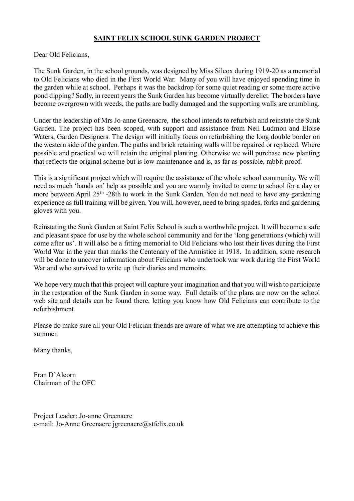## **SAINT FELIX SCHOOL SUNK GARDEN PROJECT**

Dear Old Felicians,

The Sunk Garden, in the school grounds, was designed by Miss Silcox during 1919-20 as a memorial to Old Felicians who died in the First World War. Many of you will have enjoyed spending time in the garden while at school. Perhaps it was the backdrop for some quiet reading or some more active pond dipping? Sadly, in recent years the Sunk Garden has become virtually derelict. The borders have become overgrown with weeds, the paths are badly damaged and the supporting walls are crumbling.

Under the leadership of Mrs Jo-anne Greenacre, the school intends to refurbish and reinstate the Sunk Garden. The project has been scoped, with support and assistance from Neil Ludmon and Eloise Waters, Garden Designers. The design will initially focus on refurbishing the long double border on the western side of the garden. The paths and brick retaining walls will be repaired or replaced. Where possible and practical we will retain the original planting. Otherwise we will purchase new planting that reflects the original scheme but is low maintenance and is, as far as possible, rabbit proof.

This is a significant project which will require the assistance of the whole school community. We will need as much 'hands on' help as possible and you are warmly invited to come to school for a day or more between April 25<sup>th</sup> -28th to work in the Sunk Garden. You do not need to have any gardening experience as full training will be given. You will, however, need to bring spades, forks and gardening gloves with you.

Reinstating the Sunk Garden at Saint Felix School is such a worthwhile project. It will become a safe and pleasant space for use by the whole school community and for the 'long generations (which) will come after us'. It will also be a fitting memorial to Old Felicians who lost their lives during the First World War in the year that marks the Centenary of the Armistice in 1918. In addition, some research will be done to uncover information about Felicians who undertook war work during the First World War and who survived to write up their diaries and memoirs.

We hope very much that this project will capture your imagination and that you will wish to participate in the restoration of the Sunk Garden in some way. Full details of the plans are now on the school web site and details can be found there, letting you know how Old Felicians can contribute to the refurbishment.

Please do make sure all your Old Felician friends are aware of what we are attempting to achieve this summer.

Many thanks,

Fran D'Alcorn Chairman of the OFC

Project Leader: Jo-anne Greenacre e-mail: Jo-Anne Greenacre jgreenacre@stfelix.co.uk